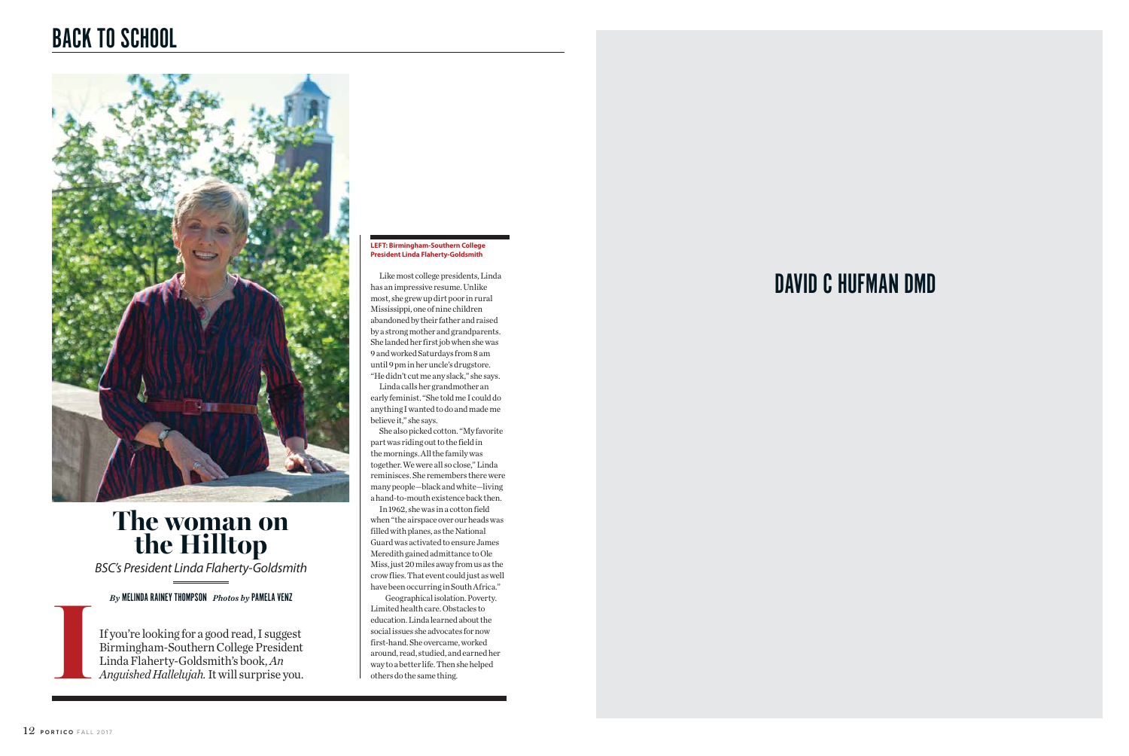Like most college presidents, Linda has an impressive resume. Unlike most, she grew up dirt poor in rural Mississippi, one of nine children abandoned by their father and raised by a strong mother and grandparents. She landed her first job when she was 9 and worked Saturdays from 8 am until 9 pm in her uncle's drugstore. "He didn't cut me any slack," she says.

Linda calls her grandmother an early feminist. "She told me I could do anything I wanted to do and made me believe it," she says.

She also picked cotton. "My favorite part was riding out to the field in the mornings. All the family was together. We were all so close," Linda reminisces. She remembers there were many people—black and white—living a hand-to-mouth existence back then.

In 1962, she was in a cotton field when "the airspace over our heads was filled with planes, as the National Guard was activated to ensure James Meredith gained admittance to Ole Miss, just 20 miles away from us as the crow flies. That event could just as well have been occurring in South Africa."

 Geographical isolation. Poverty. Limited health care. Obstacles to education. Linda learned about the social issues she advocates for now first-hand. She overcame, worked around, read, studied, and earned her way to a better life. Then she helped others do the same thing.

### **LEFT: Birmingham-Southern College President Linda Flaherty-Goldsmith**

# BACK TO SCHOOL



 If you're looking for a good read, I suggest Birmingham-Southern College President Linda Flaherty-Goldsmith's book, *An Anguished Hallelujah.* It will surprise you.

*BSC's President Linda Flaherty-Goldsmith*

### **The woman on the Hilltop**

*By* MELINDA RAINEY THOMPSON *Photos by* PAMELA VENZ

**I**

## DAVID C HUFMAN DMD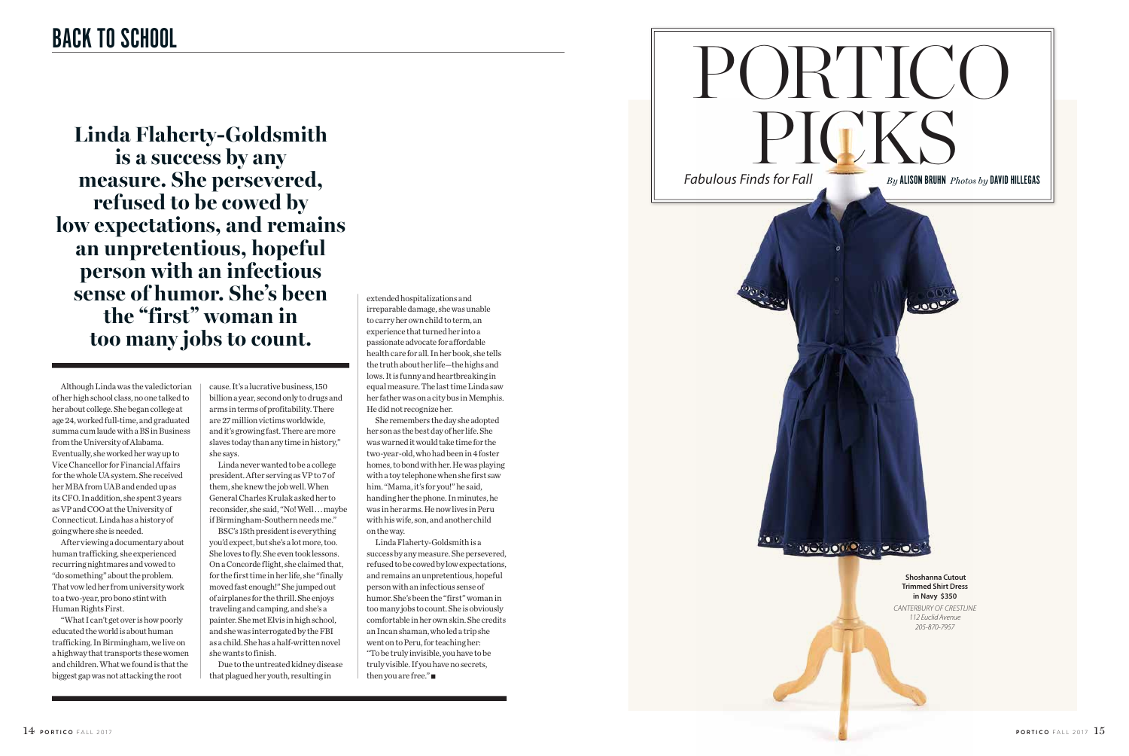Although Linda was the valedictorian of her high school class, no one talked to her about college. She began college at age 24, worked full-time, and graduated summa cum laude with a BS in Business from the University of Alabama. Eventually, she worked her way up to Vice Chancellor for Financial Affairs for the whole UA system. She received her MBA from UAB and ended up as its CFO. In addition, she spent 3 years as VP and COO at the University of Connecticut. Linda has a history of going where she is needed.

After viewing a documentary about human trafficking, she experienced recurring nightmares and vowed to "do something" about the problem. That vow led her from university work to a two-year, pro bono stint with Human Rights First.

"What I can't get over is how poorly educated the world is about human trafficking. In Birmingham, we live on a highway that transports these women and children. What we found is that the biggest gap was not attacking the root

cause. It's a lucrative business, 150 billion a year, second only to drugs and arms in terms of profitability. There are 27 million victims worldwide, and it's growing fast. There are more slaves today than any time in history," she says.

Linda never wanted to be a college president. After serving as VP to 7 of them, she knew the job well. When General Charles Krulak asked her to reconsider, she said, "No! Well . . . maybe if Birmingham-Southern needs me."

BSC's 15th president is everything you'd expect, but she's a lot more, too. She loves to fly. She even took lessons. On a Concorde flight, she claimed that, for the first time in her life, she "finally moved fast enough!" She jumped out of airplanes for the thrill. She enjoys traveling and camping, and she's a painter. She met Elvis in high school, and she was interrogated by the FBI as a child. She has a half-written novel she wants to finish.



Due to the untreated kidney disease that plagued her youth, resulting in

extended hospitalizations and irreparable damage, she was unable to carry her own child to term, an experience that turned her into a passionate advocate for affordable health care for all. In her book, she tells the truth about her life—the highs and lows. It is funny and heartbreaking in equal measure. The last time Linda saw her father was on a city bus in Memphis. He did not recognize her.

She remembers the day she adopted her son as the best day of her life. She was warned it would take time for the two-year-old, who had been in 4 foster homes, to bond with her. He was playing with a toy telephone when she first saw him. "Mama, it's for you!" he said, handing her the phone. In minutes, he was in her arms. He now lives in Peru with his wife, son, and another child on the way.

Linda Flaherty-Goldsmith is a success by any measure. She persevered, refused to be cowed by low expectations, and remains an unpretentious, hopeful person with an infectious sense of humor. She's been the "first" woman in too many jobs to count. She is obviously comfortable in her own skin. She credits an Incan shaman, who led a trip she went on to Peru, for teaching her: "To be truly invisible, you have to be truly visible. If you have no secrets, then you are free."

**Linda Flaherty-Goldsmith is a success by any measure. She persevered, refused to be cowed by low expectations, and remains an unpretentious, hopeful person with an infectious sense of humor. She's been the "first" woman in too many jobs to count.**